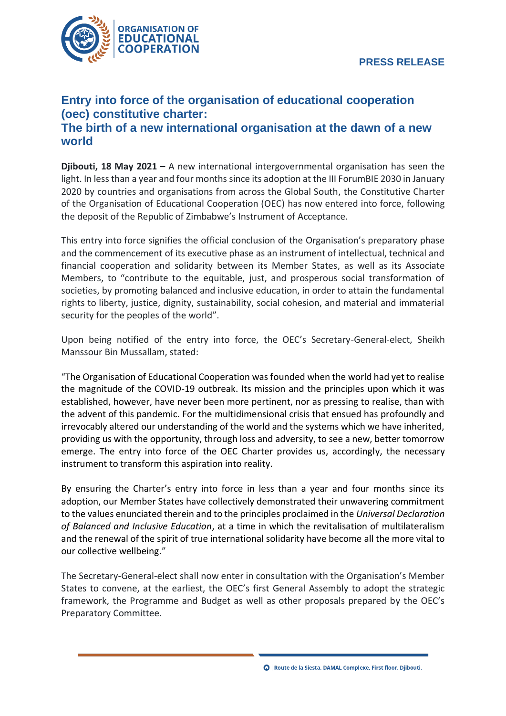

## **Entry into force of the organisation of educational cooperation (oec) constitutive charter: The birth of a new international organisation at the dawn of a new world**

**Djibouti, 18 May 2021 –** A new international intergovernmental organisation has seen the light. In less than a year and four months since its adoption at the III ForumBIE 2030 in January 2020 by countries and organisations from across the Global South, the Constitutive Charter of the Organisation of Educational Cooperation (OEC) has now entered into force, following the deposit of the Republic of Zimbabwe's Instrument of Acceptance.

This entry into force signifies the official conclusion of the Organisation's preparatory phase and the commencement of its executive phase as an instrument of intellectual, technical and financial cooperation and solidarity between its Member States, as well as its Associate Members, to "contribute to the equitable, just, and prosperous social transformation of societies, by promoting balanced and inclusive education, in order to attain the fundamental rights to liberty, justice, dignity, sustainability, social cohesion, and material and immaterial security for the peoples of the world".

Upon being notified of the entry into force, the OEC's Secretary-General-elect, Sheikh Manssour Bin Mussallam, stated:

"The Organisation of Educational Cooperation was founded when the world had yet to realise the magnitude of the COVID-19 outbreak. Its mission and the principles upon which it was established, however, have never been more pertinent, nor as pressing to realise, than with the advent of this pandemic. For the multidimensional crisis that ensued has profoundly and irrevocably altered our understanding of the world and the systems which we have inherited, providing us with the opportunity, through loss and adversity, to see a new, better tomorrow emerge. The entry into force of the OEC Charter provides us, accordingly, the necessary instrument to transform this aspiration into reality.

By ensuring the Charter's entry into force in less than a year and four months since its adoption, our Member States have collectively demonstrated their unwavering commitment to the values enunciated therein and to the principles proclaimed in the *Universal Declaration of Balanced and Inclusive Education*, at a time in which the revitalisation of multilateralism and the renewal of the spirit of true international solidarity have become all the more vital to our collective wellbeing."

The Secretary-General-elect shall now enter in consultation with the Organisation's Member States to convene, at the earliest, the OEC's first General Assembly to adopt the strategic framework, the Programme and Budget as well as other proposals prepared by the OEC's Preparatory Committee.